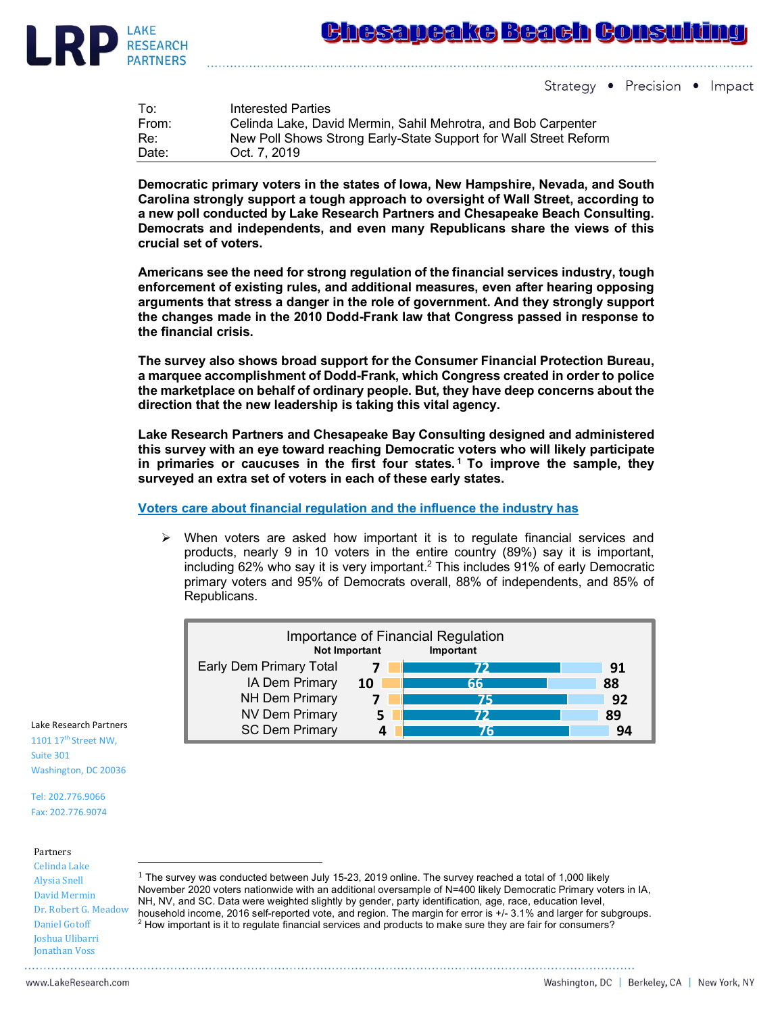

Strategy • Precision • Impact

| To:   | Interested Parties                                               |
|-------|------------------------------------------------------------------|
| From: | Celinda Lake, David Mermin, Sahil Mehrotra, and Bob Carpenter    |
| Re:   | New Poll Shows Strong Early-State Support for Wall Street Reform |
| Date: | Oct. 7, 2019                                                     |

**Democratic primary voters in the states of Iowa, New Hampshire, Nevada, and South Carolina strongly support a tough approach to oversight of Wall Street, according to a new poll conducted by Lake Research Partners and Chesapeake Beach Consulting. Democrats and independents, and even many Republicans share the views of this crucial set of voters.**

**Americans see the need for strong regulation of the financial services industry, tough enforcement of existing rules, and additional measures, even after hearing opposing arguments that stress a danger in the role of government. And they strongly support the changes made in the 2010 Dodd-Frank law that Congress passed in response to the financial crisis.**

**The survey also shows broad support for the Consumer Financial Protection Bureau, a marquee accomplishment of Dodd-Frank, which Congress created in order to police the marketplace on behalf of ordinary people. But, they have deep concerns about the direction that the new leadership is taking this vital agency.**

**Lake Research Partners and Chesapeake Bay Consulting designed and administered this survey with an eye toward reaching Democratic voters who will likely participate in primaries or caucuses in the first four states. <sup>1</sup> To improve the sample, they surveyed an extra set of voters in each of these early states.**

**Voters care about financial regulation and the influence the industry has**

 $\triangleright$  When voters are asked how important it is to regulate financial services and products, nearly 9 in 10 voters in the entire country (89%) say it is important, including 62% who say it is very important.2 This includes 91% of early Democratic primary voters and 95% of Democrats overall, 88% of independents, and 85% of Republicans.



Lake Research Partners 1101 17<sup>th</sup> Street NW,

Suite 301 Washington, DC 20036

Tel: 202.776.9066 Fax: 202.776.9074

## Partners

Celinda Lake Alysia Snell David Mermin Dr. Robert G. Meadow Daniel Gotoff Joshua Ulibarri **Jonathan Voss** 

 

 $1$  The survey was conducted between July 15-23, 2019 online. The survey reached a total of 1,000 likely November 2020 voters nationwide with an additional oversample of N=400 likely Democratic Primary voters in IA, NH, NV, and SC. Data were weighted slightly by gender, party identification, age, race, education level, household income, 2016 self-reported vote, and region. The margin for error is +/- 3.1% and larger for subgroups.  $<sup>2</sup>$  How important is it to regulate financial services and products to make sure they are fair for consumers?</sup>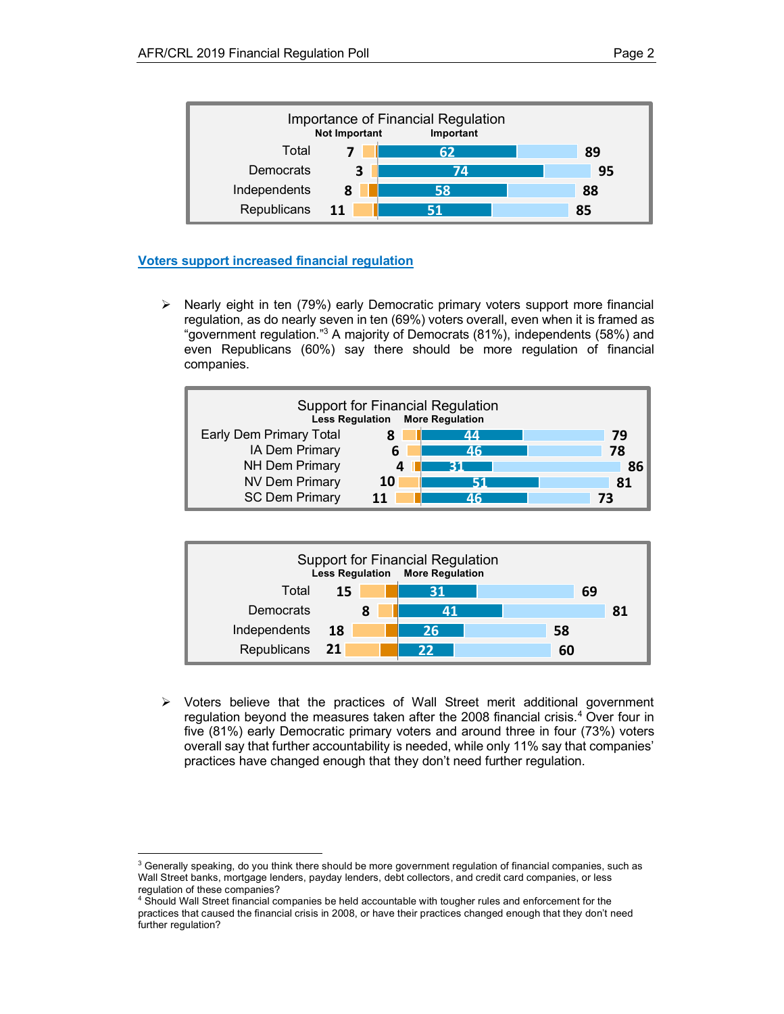

## **Voters support increased financial regulation**

 

 $\triangleright$  Nearly eight in ten (79%) early Democratic primary voters support more financial regulation, as do nearly seven in ten (69%) voters overall, even when it is framed as "government regulation."3 A majority of Democrats (81%), independents (58%) and even Republicans (60%) say there should be more regulation of financial companies.





 $\triangleright$  Voters believe that the practices of Wall Street merit additional government regulation beyond the measures taken after the 2008 financial crisis. <sup>4</sup> Over four in five (81%) early Democratic primary voters and around three in four (73%) voters overall say that further accountability is needed, while only 11% say that companies' practices have changed enough that they don't need further regulation.

 $3$  Generally speaking, do you think there should be more government regulation of financial companies, such as Wall Street banks, mortgage lenders, payday lenders, debt collectors, and credit card companies, or less regulation of these companies?

<sup>4</sup> Should Wall Street financial companies be held accountable with tougher rules and enforcement for the practices that caused the financial crisis in 2008, or have their practices changed enough that they don't need further regulation?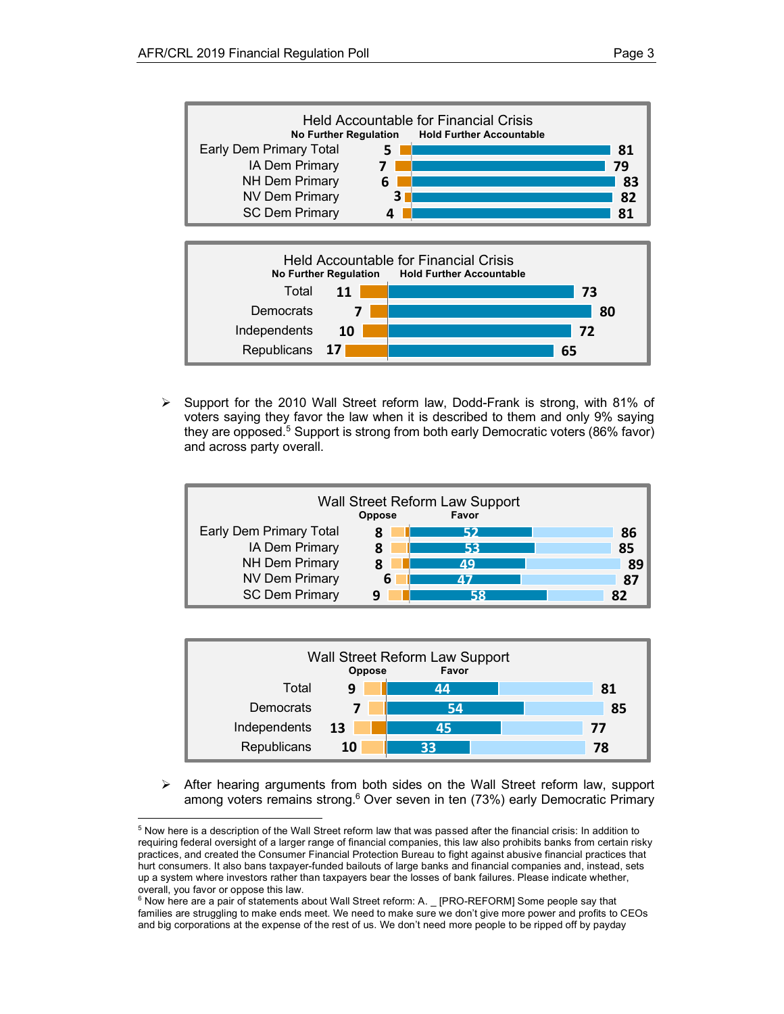**65**



 $\triangleright$  Support for the 2010 Wall Street reform law, Dodd-Frank is strong, with 81% of voters saying they favor the law when it is described to them and only 9% saying they are opposed.<sup>5</sup> Support is strong from both early Democratic voters (86% favor) and across party overall.

**17**

**Republicans** 





 $\triangleright$  After hearing arguments from both sides on the Wall Street reform law, support among voters remains strong.<sup>6</sup> Over seven in ten (73%) early Democratic Primary

 

<sup>5</sup> Now here is a description of the Wall Street reform law that was passed after the financial crisis: In addition to requiring federal oversight of a larger range of financial companies, this law also prohibits banks from certain risky practices, and created the Consumer Financial Protection Bureau to fight against abusive financial practices that hurt consumers. It also bans taxpayer-funded bailouts of large banks and financial companies and, instead, sets up a system where investors rather than taxpayers bear the losses of bank failures. Please indicate whether, overall, you favor or oppose this law.

<sup>&</sup>lt;sup>6</sup> Now here are a pair of statements about Wall Street reform: A. \_ [PRO-REFORM] Some people say that families are struggling to make ends meet. We need to make sure we don't give more power and profits to CEOs and big corporations at the expense of the rest of us. We don't need more people to be ripped off by payday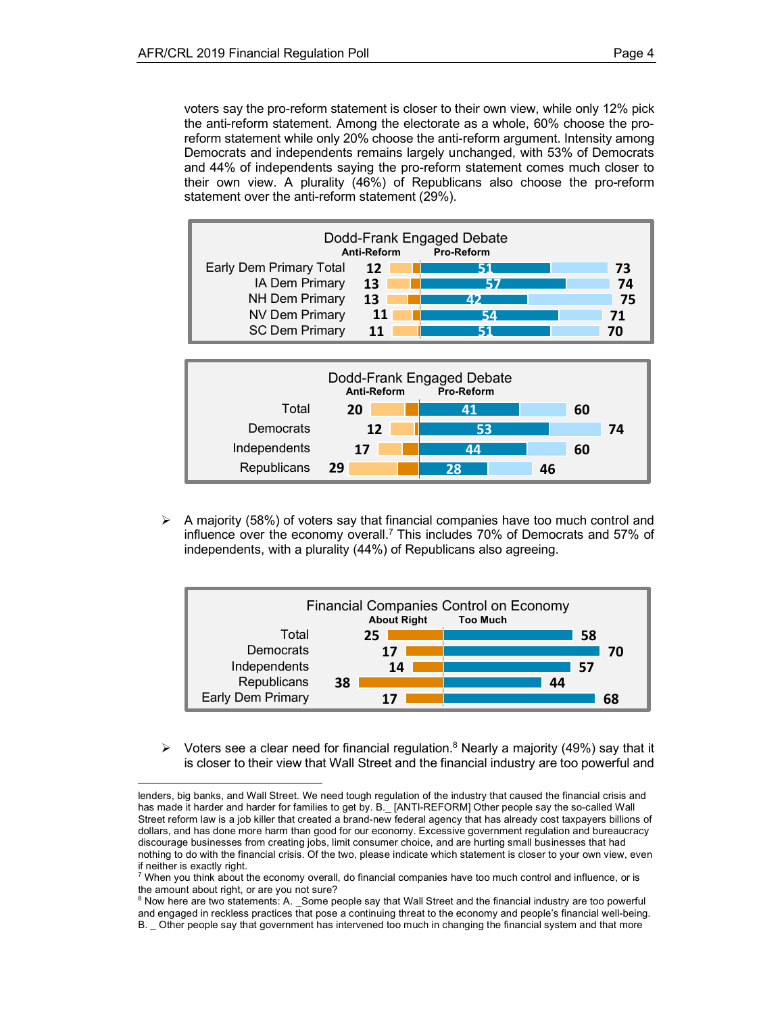voters say the pro-reform statement is closer to their own view, while only 12% pick the anti-reform statement. Among the electorate as a whole, 60% choose the proreform statement while only 20% choose the anti-reform argument. Intensity among Democrats and independents remains largely unchanged, with 53% of Democrats and 44% of independents saying the pro-reform statement comes much closer to their own view. A plurality (46%) of Republicans also choose the pro-reform statement over the anti-reform statement (29%).





 $\triangleright$  A majority (58%) of voters say that financial companies have too much control and influence over the economy overall.<sup>7</sup> This includes 70% of Democrats and 57% of independents, with a plurality (44%) of Republicans also agreeing.



 $\triangleright$  Voters see a clear need for financial regulation.<sup>8</sup> Nearly a majority (49%) say that it is closer to their view that Wall Street and the financial industry are too powerful and

<sup>8</sup> Now here are two statements: A. \_Some people say that Wall Street and the financial industry are too powerful and engaged in reckless practices that pose a continuing threat to the economy and people's financial well-being.

lenders, big banks, and Wall Street. We need tough regulation of the industry that caused the financial crisis and has made it harder and harder for families to get by. B. [ANTI-REFORM] Other people say the so-called Wall Street reform law is a job killer that created a brand-new federal agency that has already cost taxpayers billions of dollars, and has done more harm than good for our economy. Excessive government regulation and bureaucracy discourage businesses from creating jobs, limit consumer choice, and are hurting small businesses that had nothing to do with the financial crisis. Of the two, please indicate which statement is closer to your own view, even if neither is exactly right.

<sup>7</sup> When you think about the economy overall, do financial companies have too much control and influence, or is the amount about right, or are you not sure?

B. Other people say that government has intervened too much in changing the financial system and that more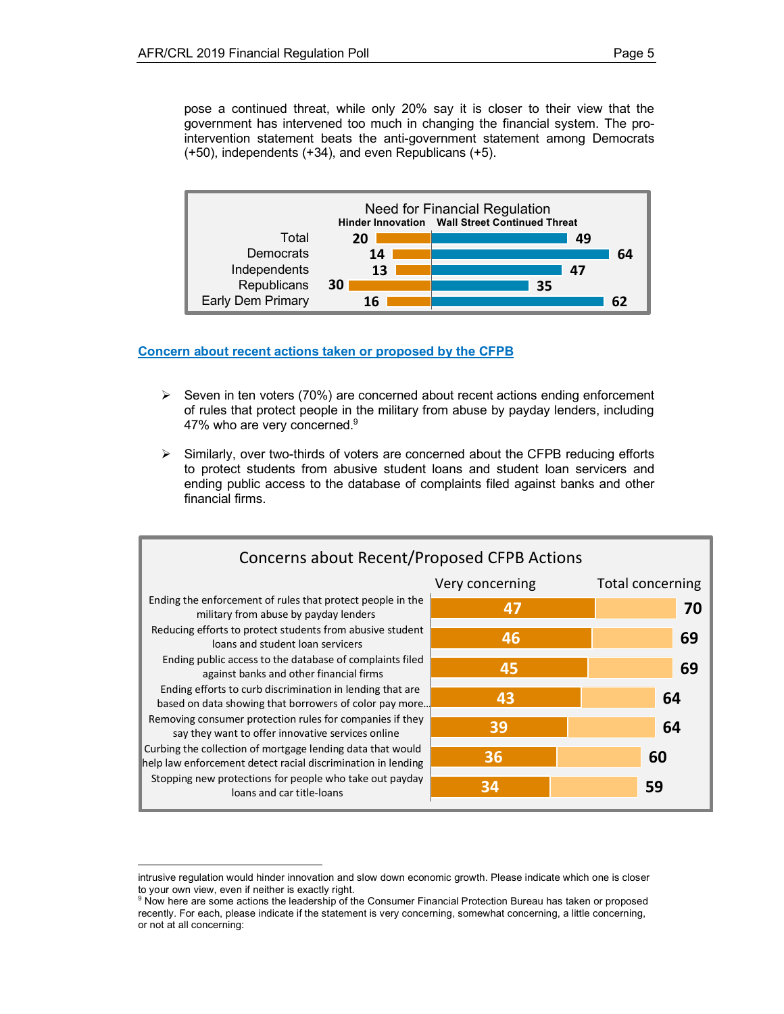pose a continued threat, while only 20% say it is closer to their view that the government has intervened too much in changing the financial system. The prointervention statement beats the anti-government statement among Democrats (+50), independents (+34), and even Republicans (+5).



**Concern about recent actions taken or proposed by the CFPB**

- $\triangleright$  Seven in ten voters (70%) are concerned about recent actions ending enforcement of rules that protect people in the military from abuse by payday lenders, including 47% who are very concerned. $9$
- $\triangleright$  Similarly, over two-thirds of voters are concerned about the CFPB reducing efforts to protect students from abusive student loans and student loan servicers and ending public access to the database of complaints filed against banks and other financial firms.



intrusive regulation would hinder innovation and slow down economic growth. Please indicate which one is closer to your own view, even if neither is exactly right.

 

<sup>9</sup> Now here are some actions the leadership of the Consumer Financial Protection Bureau has taken or proposed recently. For each, please indicate if the statement is very concerning, somewhat concerning, a little concerning, or not at all concerning: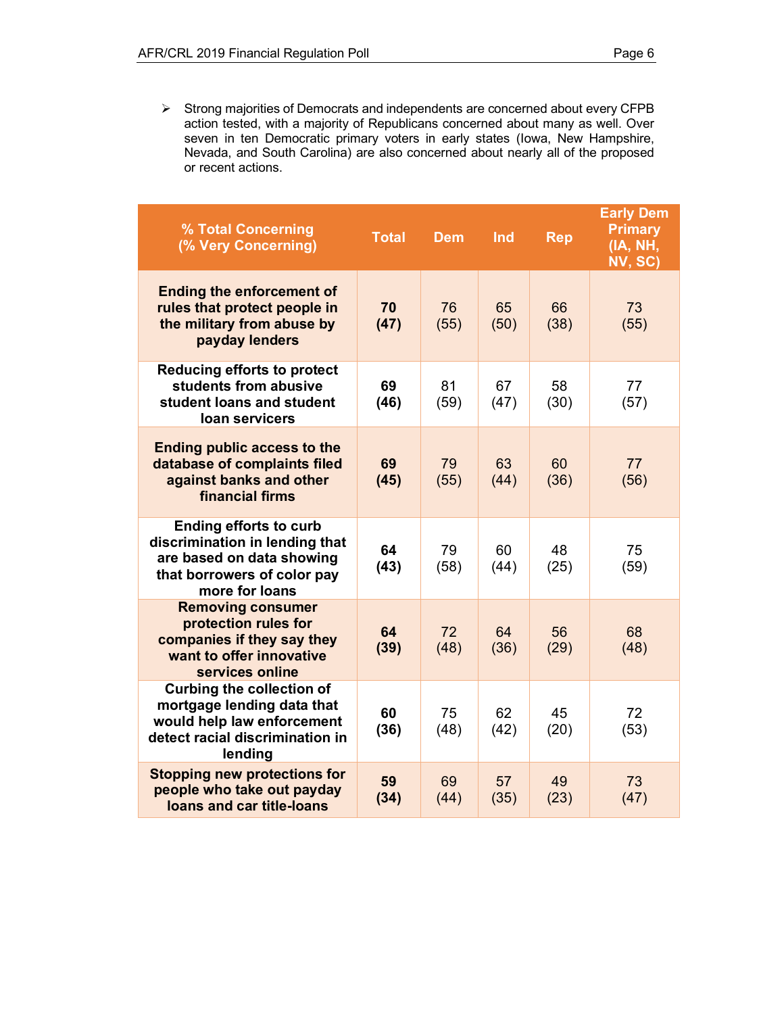Ø Strong majorities of Democrats and independents are concerned about every CFPB action tested, with a majority of Republicans concerned about many as well. Over seven in ten Democratic primary voters in early states (Iowa, New Hampshire, Nevada, and South Carolina) are also concerned about nearly all of the proposed or recent actions.

| % Total Concerning<br>(% Very Concerning)                                                                                                     | <b>Total</b> | <b>Dem</b> | Ind        | <b>Rep</b> | <b>Early Dem</b><br><b>Primary</b><br>(IA, NH,<br>NV, SC) |
|-----------------------------------------------------------------------------------------------------------------------------------------------|--------------|------------|------------|------------|-----------------------------------------------------------|
| <b>Ending the enforcement of</b><br>rules that protect people in<br>the military from abuse by<br>payday lenders                              | 70<br>(47)   | 76<br>(55) | 65<br>(50) | 66<br>(38) | 73<br>(55)                                                |
| <b>Reducing efforts to protect</b><br>students from abusive<br>student loans and student<br>loan servicers                                    | 69<br>(46)   | 81<br>(59) | 67<br>(47) | 58<br>(30) | 77<br>(57)                                                |
| <b>Ending public access to the</b><br>database of complaints filed<br>against banks and other<br>financial firms                              | 69<br>(45)   | 79<br>(55) | 63<br>(44) | 60<br>(36) | 77<br>(56)                                                |
| <b>Ending efforts to curb</b><br>discrimination in lending that<br>are based on data showing<br>that borrowers of color pay<br>more for loans | 64<br>(43)   | 79<br>(58) | 60<br>(44) | 48<br>(25) | 75<br>(59)                                                |
| <b>Removing consumer</b><br>protection rules for<br>companies if they say they<br>want to offer innovative<br>services online                 | 64<br>(39)   | 72<br>(48) | 64<br>(36) | 56<br>(29) | 68<br>(48)                                                |
| <b>Curbing the collection of</b><br>mortgage lending data that<br>would help law enforcement<br>detect racial discrimination in<br>lending    | 60<br>(36)   | 75<br>(48) | 62<br>(42) | 45<br>(20) | 72<br>(53)                                                |
| <b>Stopping new protections for</b><br>people who take out payday<br>loans and car title-loans                                                | 59<br>(34)   | 69<br>(44) | 57<br>(35) | 49<br>(23) | 73<br>(47)                                                |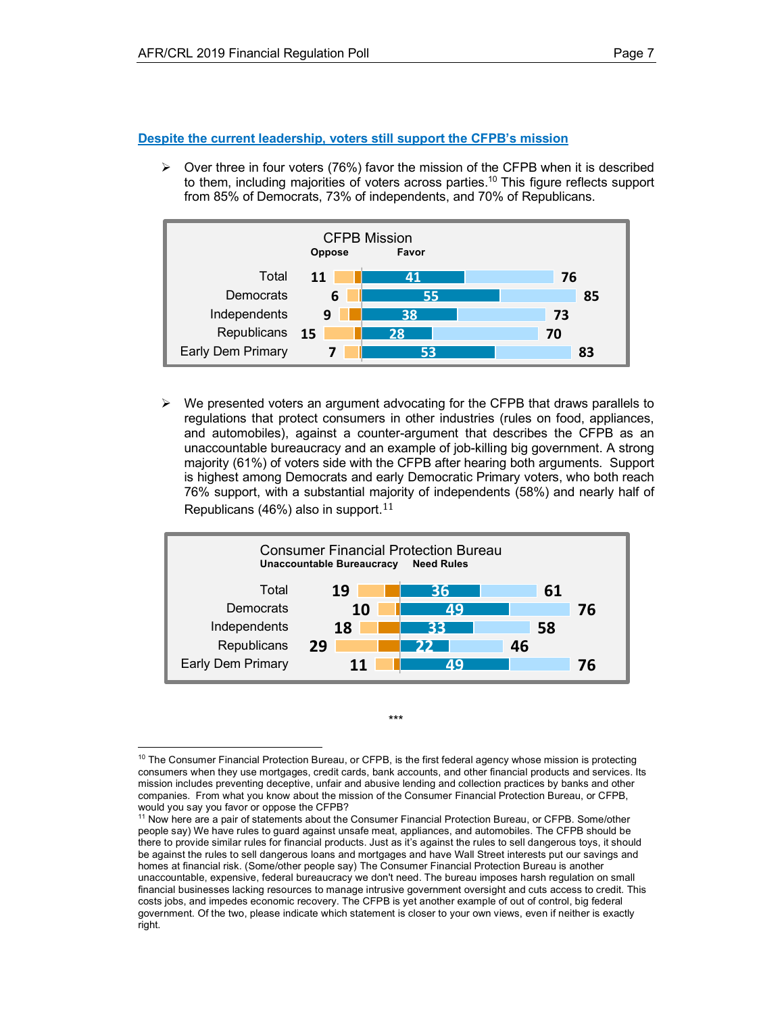**Despite the current leadership, voters still support the CFPB's mission**

 $\triangleright$  Over three in four voters (76%) favor the mission of the CFPB when it is described to them, including majorities of voters across parties.10 This figure reflects support from 85% of Democrats, 73% of independents, and 70% of Republicans.



 $\triangleright$  We presented voters an argument advocating for the CFPB that draws parallels to regulations that protect consumers in other industries (rules on food, appliances, and automobiles), against a counter-argument that describes the CFPB as an unaccountable bureaucracy and an example of job-killing big government. A strong majority (61%) of voters side with the CFPB after hearing both arguments. Support is highest among Democrats and early Democratic Primary voters, who both reach 76% support, with a substantial majority of independents (58%) and nearly half of Republicans (46%) also in support.<sup>11</sup>



  $10$  The Consumer Financial Protection Bureau, or CFPB, is the first federal agency whose mission is protecting consumers when they use mortgages, credit cards, bank accounts, and other financial products and services. Its mission includes preventing deceptive, unfair and abusive lending and collection practices by banks and other companies. From what you know about the mission of the Consumer Financial Protection Bureau, or CFPB, would you say you favor or oppose the CFPB?

\*\*\*

<sup>&</sup>lt;sup>11</sup> Now here are a pair of statements about the Consumer Financial Protection Bureau, or CFPB. Some/other people say) We have rules to guard against unsafe meat, appliances, and automobiles. The CFPB should be there to provide similar rules for financial products. Just as it's against the rules to sell dangerous toys, it should be against the rules to sell dangerous loans and mortgages and have Wall Street interests put our savings and homes at financial risk. (Some/other people say) The Consumer Financial Protection Bureau is another unaccountable, expensive, federal bureaucracy we don't need. The bureau imposes harsh regulation on small financial businesses lacking resources to manage intrusive government oversight and cuts access to credit. This costs jobs, and impedes economic recovery. The CFPB is yet another example of out of control, big federal government. Of the two, please indicate which statement is closer to your own views, even if neither is exactly right.